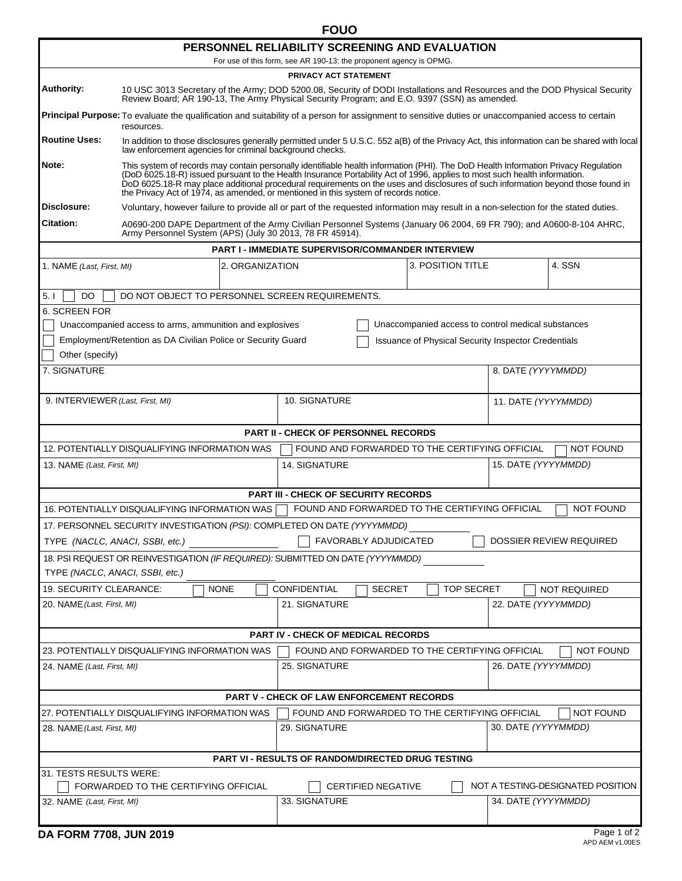| PERSONNEL RELIABILITY SCREENING AND EVALUATION                                                                      |                                                                                                                                                                                                                                                                                                                                                                                                                                                                                            |                                                          |                                                            |                     |                                   |  |  |  |  |
|---------------------------------------------------------------------------------------------------------------------|--------------------------------------------------------------------------------------------------------------------------------------------------------------------------------------------------------------------------------------------------------------------------------------------------------------------------------------------------------------------------------------------------------------------------------------------------------------------------------------------|----------------------------------------------------------|------------------------------------------------------------|---------------------|-----------------------------------|--|--|--|--|
| For use of this form, see AR 190-13; the proponent agency is OPMG.<br>PRIVACY ACT STATEMENT                         |                                                                                                                                                                                                                                                                                                                                                                                                                                                                                            |                                                          |                                                            |                     |                                   |  |  |  |  |
| Authority:                                                                                                          | 10 USC 3013 Secretary of the Army; DOD 5200.08, Security of DODI Installations and Resources and the DOD Physical Security<br>Review Board; AR 190-13, The Army Physical Security Program; and E.O. 9397 (SSN) as amended.                                                                                                                                                                                                                                                                 |                                                          |                                                            |                     |                                   |  |  |  |  |
|                                                                                                                     | Principal Purpose: To evaluate the qualification and suitability of a person for assignment to sensitive duties or unaccompanied access to certain<br>resources.                                                                                                                                                                                                                                                                                                                           |                                                          |                                                            |                     |                                   |  |  |  |  |
| <b>Routine Uses:</b>                                                                                                | In addition to those disclosures generally permitted under 5 U.S.C. 552 a(B) of the Privacy Act, this information can be shared with local<br>law enforcement agencies for criminal background checks.                                                                                                                                                                                                                                                                                     |                                                          |                                                            |                     |                                   |  |  |  |  |
| Note:                                                                                                               | This system of records may contain personally identifiable health information (PHI). The DoD Health Information Privacy Regulation<br>(DoD 6025.18-R) issued pursuant to the Health Insurance Portability Act of 1996, applies to most such health information.<br>DoD 6025.18-R may place additional procedural requirements on the uses and disclosures of such information beyond those found in<br>the Privacy Act of 1974, as amended, or mentioned in this system of records notice. |                                                          |                                                            |                     |                                   |  |  |  |  |
| Disclosure:                                                                                                         | Voluntary, however failure to provide all or part of the requested information may result in a non-selection for the stated duties.                                                                                                                                                                                                                                                                                                                                                        |                                                          |                                                            |                     |                                   |  |  |  |  |
| <b>Citation:</b>                                                                                                    | A0690-200 DAPE Department of the Army Civilian Personnel Systems (January 06 2004, 69 FR 790); and A0600-8-104 AHRC,<br>Army Personnel System (APS) (July 30 2013, 78 FR 45914).                                                                                                                                                                                                                                                                                                           |                                                          |                                                            |                     |                                   |  |  |  |  |
|                                                                                                                     |                                                                                                                                                                                                                                                                                                                                                                                                                                                                                            | <b>PART I - IMMEDIATE SUPERVISOR/COMMANDER INTERVIEW</b> |                                                            |                     |                                   |  |  |  |  |
| 1. NAME (Last, First, MI)                                                                                           | 2. ORGANIZATION                                                                                                                                                                                                                                                                                                                                                                                                                                                                            |                                                          | 3. POSITION TITLE                                          |                     | 4. SSN                            |  |  |  |  |
| DO<br>5. I                                                                                                          | DO NOT OBJECT TO PERSONNEL SCREEN REQUIREMENTS.                                                                                                                                                                                                                                                                                                                                                                                                                                            |                                                          |                                                            |                     |                                   |  |  |  |  |
| 6. SCREEN FOR                                                                                                       |                                                                                                                                                                                                                                                                                                                                                                                                                                                                                            |                                                          |                                                            |                     |                                   |  |  |  |  |
| Unaccompanied access to control medical substances<br>Unaccompanied access to arms, ammunition and explosives       |                                                                                                                                                                                                                                                                                                                                                                                                                                                                                            |                                                          |                                                            |                     |                                   |  |  |  |  |
|                                                                                                                     | Employment/Retention as DA Civilian Police or Security Guard                                                                                                                                                                                                                                                                                                                                                                                                                               |                                                          | <b>Issuance of Physical Security Inspector Credentials</b> |                     |                                   |  |  |  |  |
| Other (specify)                                                                                                     |                                                                                                                                                                                                                                                                                                                                                                                                                                                                                            |                                                          |                                                            |                     |                                   |  |  |  |  |
| 7. SIGNATURE                                                                                                        |                                                                                                                                                                                                                                                                                                                                                                                                                                                                                            |                                                          |                                                            | 8. DATE (YYYYMMDD)  |                                   |  |  |  |  |
| 9. INTERVIEWER (Last, First, MI)                                                                                    |                                                                                                                                                                                                                                                                                                                                                                                                                                                                                            | 10. SIGNATURE                                            |                                                            | 11. DATE (YYYYMMDD) |                                   |  |  |  |  |
| <b>PART II - CHECK OF PERSONNEL RECORDS</b>                                                                         |                                                                                                                                                                                                                                                                                                                                                                                                                                                                                            |                                                          |                                                            |                     |                                   |  |  |  |  |
|                                                                                                                     | 12. POTENTIALLY DISQUALIFYING INFORMATION WAS                                                                                                                                                                                                                                                                                                                                                                                                                                              | FOUND AND FORWARDED TO THE CERTIFYING OFFICIAL           |                                                            |                     | <b>NOT FOUND</b>                  |  |  |  |  |
| 13. NAME (Last, First, MI)                                                                                          |                                                                                                                                                                                                                                                                                                                                                                                                                                                                                            | <b>14. SIGNATURE</b>                                     |                                                            | 15. DATE (YYYYMMDD) |                                   |  |  |  |  |
| <b>PART III - CHECK OF SECURITY RECORDS</b>                                                                         |                                                                                                                                                                                                                                                                                                                                                                                                                                                                                            |                                                          |                                                            |                     |                                   |  |  |  |  |
| FOUND AND FORWARDED TO THE CERTIFYING OFFICIAL<br><b>NOT FOUND</b><br>16. POTENTIALLY DISQUALIFYING INFORMATION WAS |                                                                                                                                                                                                                                                                                                                                                                                                                                                                                            |                                                          |                                                            |                     |                                   |  |  |  |  |
|                                                                                                                     | 17. PERSONNEL SECURITY INVESTIGATION (PSI): COMPLETED ON DATE (YYYYMMDD)                                                                                                                                                                                                                                                                                                                                                                                                                   |                                                          |                                                            |                     |                                   |  |  |  |  |
| FAVORABLY ADJUDICATED<br>DOSSIER REVIEW REQUIRED<br>TYPE (NACLC, ANACI, SSBI, etc.)                                 |                                                                                                                                                                                                                                                                                                                                                                                                                                                                                            |                                                          |                                                            |                     |                                   |  |  |  |  |
| 18. PSI REQUEST OR REINVESTIGATION (IF REQUIRED): SUBMITTED ON DATE (YYYYMMDD)<br>TYPE (NACLC, ANACI, SSBI, etc.)   |                                                                                                                                                                                                                                                                                                                                                                                                                                                                                            |                                                          |                                                            |                     |                                   |  |  |  |  |
| 19. SECURITY CLEARANCE:                                                                                             | <b>NONE</b>                                                                                                                                                                                                                                                                                                                                                                                                                                                                                | CONFIDENTIAL<br><b>SECRET</b>                            | <b>TOP SECRET</b>                                          |                     | <b>NOT REQUIRED</b>               |  |  |  |  |
| 20. NAME (Last, First, MI)                                                                                          |                                                                                                                                                                                                                                                                                                                                                                                                                                                                                            | 21. SIGNATURE                                            |                                                            | 22. DATE (YYYYMMDD) |                                   |  |  |  |  |
| <b>PART IV - CHECK OF MEDICAL RECORDS</b>                                                                           |                                                                                                                                                                                                                                                                                                                                                                                                                                                                                            |                                                          |                                                            |                     |                                   |  |  |  |  |
| 23. POTENTIALLY DISQUALIFYING INFORMATION WAS<br>FOUND AND FORWARDED TO THE CERTIFYING OFFICIAL<br><b>NOT FOUND</b> |                                                                                                                                                                                                                                                                                                                                                                                                                                                                                            |                                                          |                                                            |                     |                                   |  |  |  |  |
| 24. NAME (Last, First, MI)                                                                                          |                                                                                                                                                                                                                                                                                                                                                                                                                                                                                            | 25. SIGNATURE                                            |                                                            | 26. DATE (YYYYMMDD) |                                   |  |  |  |  |
| <b>PART V - CHECK OF LAW ENFORCEMENT RECORDS</b>                                                                    |                                                                                                                                                                                                                                                                                                                                                                                                                                                                                            |                                                          |                                                            |                     |                                   |  |  |  |  |
| <b>NOT FOUND</b><br>27. POTENTIALLY DISQUALIFYING INFORMATION WAS<br>FOUND AND FORWARDED TO THE CERTIFYING OFFICIAL |                                                                                                                                                                                                                                                                                                                                                                                                                                                                                            |                                                          |                                                            |                     |                                   |  |  |  |  |
| 28. NAME (Last, First, MI)                                                                                          |                                                                                                                                                                                                                                                                                                                                                                                                                                                                                            | 29. SIGNATURE                                            |                                                            | 30. DATE (YYYYMMDD) |                                   |  |  |  |  |
| <b>PART VI - RESULTS OF RANDOM/DIRECTED DRUG TESTING</b>                                                            |                                                                                                                                                                                                                                                                                                                                                                                                                                                                                            |                                                          |                                                            |                     |                                   |  |  |  |  |
| 31. TESTS RESULTS WERE:                                                                                             |                                                                                                                                                                                                                                                                                                                                                                                                                                                                                            |                                                          |                                                            |                     |                                   |  |  |  |  |
| 32. NAME (Last, First, MI)                                                                                          | FORWARDED TO THE CERTIFYING OFFICIAL                                                                                                                                                                                                                                                                                                                                                                                                                                                       | <b>CERTIFIED NEGATIVE</b><br>33. SIGNATURE               |                                                            | 34. DATE (YYYYMMDD) | NOT A TESTING-DESIGNATED POSITION |  |  |  |  |
|                                                                                                                     |                                                                                                                                                                                                                                                                                                                                                                                                                                                                                            |                                                          |                                                            |                     |                                   |  |  |  |  |

**FOUO**